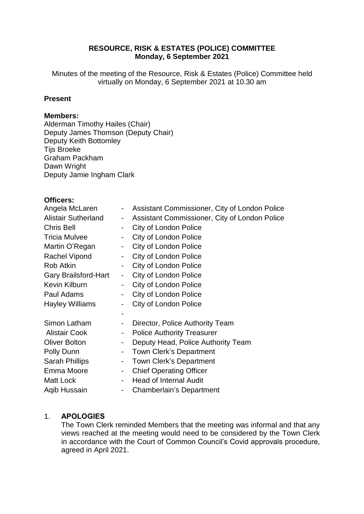## **RESOURCE, RISK & ESTATES (POLICE) COMMITTEE Monday, 6 September 2021**

Minutes of the meeting of the Resource, Risk & Estates (Police) Committee held virtually on Monday, 6 September 2021 at 10.30 am

## **Present**

#### **Members:**

Alderman Timothy Hailes (Chair) Deputy James Thomson (Deputy Chair) Deputy Keith Bottomley Tijs Broeke Graham Packham Dawn Wright Deputy Jamie Ingham Clark

#### **Officers:**

| Angela McLaren              |                              | Assistant Commissioner, City of London Police |
|-----------------------------|------------------------------|-----------------------------------------------|
| <b>Alistair Sutherland</b>  | $\blacksquare$               | Assistant Commissioner, City of London Police |
| <b>Chris Bell</b>           | ۰                            | City of London Police                         |
| <b>Tricia Mulvee</b>        | $\blacksquare$               | City of London Police                         |
| Martin O'Regan              | $\blacksquare$               | <b>City of London Police</b>                  |
| Rachel Vipond               | $\sim$                       | City of London Police                         |
| Rob Atkin                   |                              | City of London Police                         |
| <b>Gary Brailsford-Hart</b> | $\qquad \qquad \blacksquare$ | <b>City of London Police</b>                  |
| Kevin Kilburn               |                              | <b>City of London Police</b>                  |
| Paul Adams                  |                              | <b>City of London Police</b>                  |
| <b>Hayley Williams</b>      |                              | City of London Police                         |
|                             |                              |                                               |
| Simon Latham                | $\blacksquare$               | Director, Police Authority Team               |
| <b>Alistair Cook</b>        | -                            | <b>Police Authority Treasurer</b>             |
| <b>Oliver Bolton</b>        |                              | Deputy Head, Police Authority Team            |
| Polly Dunn                  | $\overline{\phantom{a}}$     | <b>Town Clerk's Department</b>                |
| Sarah Phillips              | $\blacksquare$               | Town Clerk's Department                       |
| Emma Moore                  | $\blacksquare$               | <b>Chief Operating Officer</b>                |
| Matt Lock                   |                              | <b>Head of Internal Audit</b>                 |
| Aqib Hussain                |                              | Chamberlain's Department                      |
|                             |                              |                                               |

#### 1. **APOLOGIES**

The Town Clerk reminded Members that the meeting was informal and that any views reached at the meeting would need to be considered by the Town Clerk in accordance with the Court of Common Council's Covid approvals procedure, agreed in April 2021.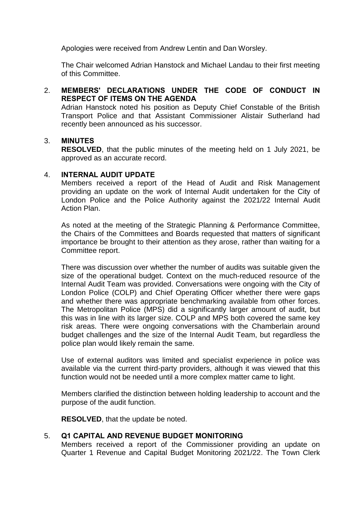Apologies were received from Andrew Lentin and Dan Worsley.

The Chair welcomed Adrian Hanstock and Michael Landau to their first meeting of this Committee.

## 2. **MEMBERS' DECLARATIONS UNDER THE CODE OF CONDUCT IN RESPECT OF ITEMS ON THE AGENDA**

Adrian Hanstock noted his position as Deputy Chief Constable of the British Transport Police and that Assistant Commissioner Alistair Sutherland had recently been announced as his successor.

#### 3. **MINUTES**

**RESOLVED**, that the public minutes of the meeting held on 1 July 2021, be approved as an accurate record.

#### 4. **INTERNAL AUDIT UPDATE**

Members received a report of the Head of Audit and Risk Management providing an update on the work of Internal Audit undertaken for the City of London Police and the Police Authority against the 2021/22 Internal Audit Action Plan.

As noted at the meeting of the Strategic Planning & Performance Committee, the Chairs of the Committees and Boards requested that matters of significant importance be brought to their attention as they arose, rather than waiting for a Committee report.

There was discussion over whether the number of audits was suitable given the size of the operational budget. Context on the much-reduced resource of the Internal Audit Team was provided. Conversations were ongoing with the City of London Police (COLP) and Chief Operating Officer whether there were gaps and whether there was appropriate benchmarking available from other forces. The Metropolitan Police (MPS) did a significantly larger amount of audit, but this was in line with its larger size. COLP and MPS both covered the same key risk areas. There were ongoing conversations with the Chamberlain around budget challenges and the size of the Internal Audit Team, but regardless the police plan would likely remain the same.

Use of external auditors was limited and specialist experience in police was available via the current third-party providers, although it was viewed that this function would not be needed until a more complex matter came to light.

Members clarified the distinction between holding leadership to account and the purpose of the audit function.

**RESOLVED**, that the update be noted.

#### 5. **Q1 CAPITAL AND REVENUE BUDGET MONITORING**

Members received a report of the Commissioner providing an update on Quarter 1 Revenue and Capital Budget Monitoring 2021/22. The Town Clerk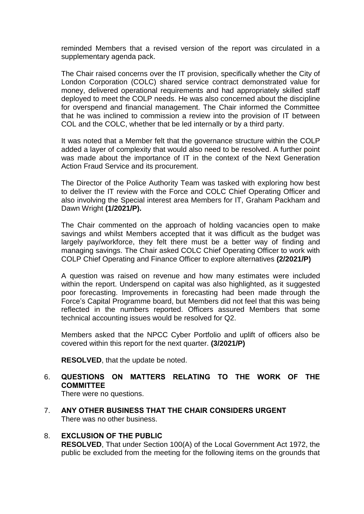reminded Members that a revised version of the report was circulated in a supplementary agenda pack.

The Chair raised concerns over the IT provision, specifically whether the City of London Corporation (COLC) shared service contract demonstrated value for money, delivered operational requirements and had appropriately skilled staff deployed to meet the COLP needs. He was also concerned about the discipline for overspend and financial management. The Chair informed the Committee that he was inclined to commission a review into the provision of IT between COL and the COLC, whether that be led internally or by a third party.

It was noted that a Member felt that the governance structure within the COLP added a layer of complexity that would also need to be resolved. A further point was made about the importance of IT in the context of the Next Generation Action Fraud Service and its procurement.

The Director of the Police Authority Team was tasked with exploring how best to deliver the IT review with the Force and COLC Chief Operating Officer and also involving the Special interest area Members for IT, Graham Packham and Dawn Wright **(1/2021/P).**

The Chair commented on the approach of holding vacancies open to make savings and whilst Members accepted that it was difficult as the budget was largely pay/workforce, they felt there must be a better way of finding and managing savings. The Chair asked COLC Chief Operating Officer to work with COLP Chief Operating and Finance Officer to explore alternatives **(2/2021/P)**

A question was raised on revenue and how many estimates were included within the report. Underspend on capital was also highlighted, as it suggested poor forecasting. Improvements in forecasting had been made through the Force's Capital Programme board, but Members did not feel that this was being reflected in the numbers reported. Officers assured Members that some technical accounting issues would be resolved for Q2.

Members asked that the NPCC Cyber Portfolio and uplift of officers also be covered within this report for the next quarter. **(3/2021/P)**

**RESOLVED**, that the update be noted.

# 6. **QUESTIONS ON MATTERS RELATING TO THE WORK OF THE COMMITTEE**

There were no questions.

7. **ANY OTHER BUSINESS THAT THE CHAIR CONSIDERS URGENT** There was no other business.

#### 8. **EXCLUSION OF THE PUBLIC RESOLVED**, That under Section 100(A) of the Local Government Act 1972, the public be excluded from the meeting for the following items on the grounds that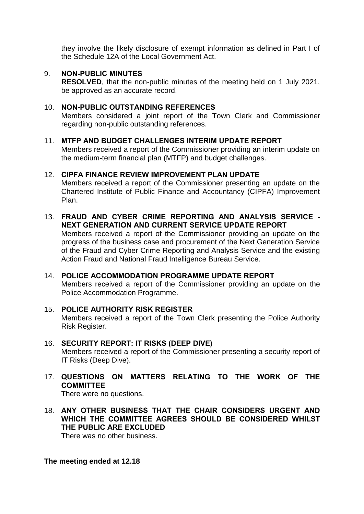they involve the likely disclosure of exempt information as defined in Part I of the Schedule 12A of the Local Government Act.

#### 9. **NON-PUBLIC MINUTES**

**RESOLVED**, that the non-public minutes of the meeting held on 1 July 2021, be approved as an accurate record.

#### 10. **NON-PUBLIC OUTSTANDING REFERENCES**

Members considered a joint report of the Town Clerk and Commissioner regarding non-public outstanding references.

#### 11. **MTFP AND BUDGET CHALLENGES INTERIM UPDATE REPORT**

Members received a report of the Commissioner providing an interim update on the medium-term financial plan (MTFP) and budget challenges.

## 12. **CIPFA FINANCE REVIEW IMPROVEMENT PLAN UPDATE**

Members received a report of the Commissioner presenting an update on the Chartered Institute of Public Finance and Accountancy (CIPFA) Improvement Plan.

#### 13. **FRAUD AND CYBER CRIME REPORTING AND ANALYSIS SERVICE - NEXT GENERATION AND CURRENT SERVICE UPDATE REPORT**

Members received a report of the Commissioner providing an update on the progress of the business case and procurement of the Next Generation Service of the Fraud and Cyber Crime Reporting and Analysis Service and the existing Action Fraud and National Fraud Intelligence Bureau Service.

# 14. **POLICE ACCOMMODATION PROGRAMME UPDATE REPORT**

Members received a report of the Commissioner providing an update on the Police Accommodation Programme.

#### 15. **POLICE AUTHORITY RISK REGISTER** Members received a report of the Town Clerk presenting the Police Authority Risk Register.

#### 16. **SECURITY REPORT: IT RISKS (DEEP DIVE)** Members received a report of the Commissioner presenting a security report of IT Risks (Deep Dive).

# 17. **QUESTIONS ON MATTERS RELATING TO THE WORK OF THE COMMITTEE**

There were no questions.

18. **ANY OTHER BUSINESS THAT THE CHAIR CONSIDERS URGENT AND WHICH THE COMMITTEE AGREES SHOULD BE CONSIDERED WHILST THE PUBLIC ARE EXCLUDED**

There was no other business.

#### **The meeting ended at 12.18**